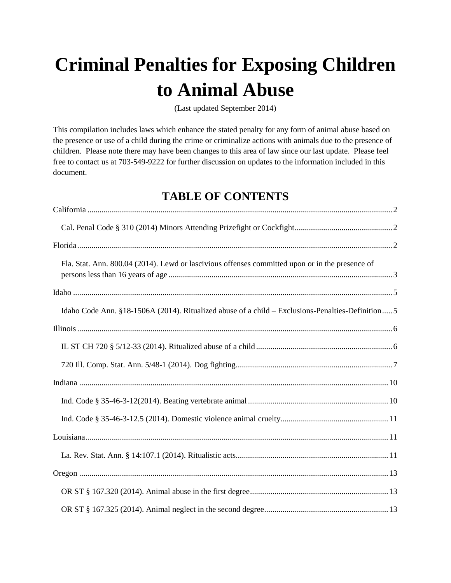# **Criminal Penalties for Exposing Children to Animal Abuse**

(Last updated September 2014)

This compilation includes laws which enhance the stated penalty for any form of animal abuse based on the presence or use of a child during the crime or criminalize actions with animals due to the presence of children. Please note there may have been changes to this area of law since our last update. Please feel free to contact us at 703-549-9222 for further discussion on updates to the information included in this document.

# **TABLE OF CONTENTS**

| Fla. Stat. Ann. 800.04 (2014). Lewd or lascivious offenses committed upon or in the presence of   |
|---------------------------------------------------------------------------------------------------|
|                                                                                                   |
| Idaho Code Ann. §18-1506A (2014). Ritualized abuse of a child – Exclusions-Penalties-Definition 5 |
|                                                                                                   |
|                                                                                                   |
|                                                                                                   |
|                                                                                                   |
|                                                                                                   |
|                                                                                                   |
|                                                                                                   |
|                                                                                                   |
|                                                                                                   |
|                                                                                                   |
|                                                                                                   |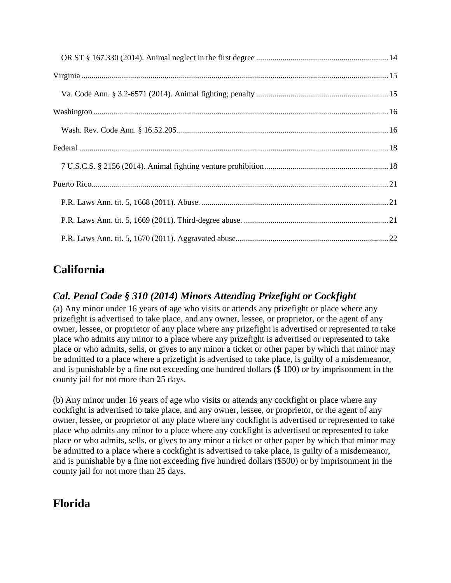# <span id="page-1-0"></span>**California**

# <span id="page-1-1"></span>*Cal. Penal Code § 310 (2014) Minors Attending Prizefight or Cockfight*

(a) Any minor under 16 years of age who visits or attends any prizefight or place where any prizefight is advertised to take place, and any owner, lessee, or proprietor, or the agent of any owner, lessee, or proprietor of any place where any prizefight is advertised or represented to take place who admits any minor to a place where any prizefight is advertised or represented to take place or who admits, sells, or gives to any minor a ticket or other paper by which that minor may be admitted to a place where a prizefight is advertised to take place, is guilty of a misdemeanor, and is punishable by a fine not exceeding one hundred dollars (\$ 100) or by imprisonment in the county jail for not more than 25 days.

(b) Any minor under 16 years of age who visits or attends any cockfight or place where any cockfight is advertised to take place, and any owner, lessee, or proprietor, or the agent of any owner, lessee, or proprietor of any place where any cockfight is advertised or represented to take place who admits any minor to a place where any cockfight is advertised or represented to take place or who admits, sells, or gives to any minor a ticket or other paper by which that minor may be admitted to a place where a cockfight is advertised to take place, is guilty of a misdemeanor, and is punishable by a fine not exceeding five hundred dollars (\$500) or by imprisonment in the county jail for not more than 25 days.

# <span id="page-1-2"></span>**Florida**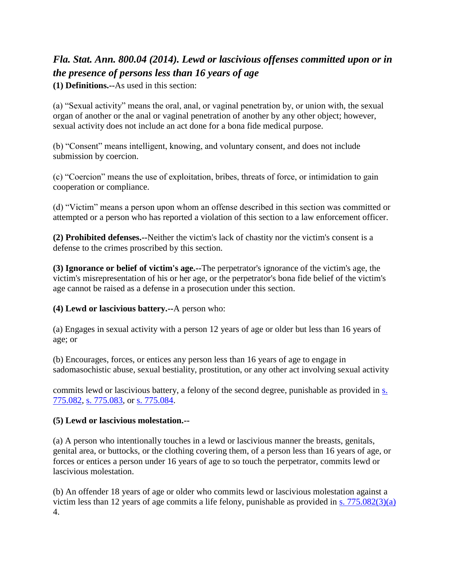# <span id="page-2-0"></span>*Fla. Stat. Ann. 800.04 (2014). Lewd or lascivious offenses committed upon or in the presence of persons less than 16 years of age*

**(1) Definitions.--**As used in this section:

(a) "Sexual activity" means the oral, anal, or vaginal penetration by, or union with, the sexual organ of another or the anal or vaginal penetration of another by any other object; however, sexual activity does not include an act done for a bona fide medical purpose.

(b) "Consent" means intelligent, knowing, and voluntary consent, and does not include submission by coercion.

(c) "Coercion" means the use of exploitation, bribes, threats of force, or intimidation to gain cooperation or compliance.

(d) "Victim" means a person upon whom an offense described in this section was committed or attempted or a person who has reported a violation of this section to a law enforcement officer.

**(2) Prohibited defenses.--**Neither the victim's lack of chastity nor the victim's consent is a defense to the crimes proscribed by this section.

**(3) Ignorance or belief of victim's age.--**The perpetrator's ignorance of the victim's age, the victim's misrepresentation of his or her age, or the perpetrator's bona fide belief of the victim's age cannot be raised as a defense in a prosecution under this section.

**(4) Lewd or lascivious battery.--**A person who:

(a) Engages in sexual activity with a person 12 years of age or older but less than 16 years of age; or

(b) Encourages, forces, or entices any person less than 16 years of age to engage in sadomasochistic abuse, sexual bestiality, prostitution, or any other act involving sexual activity

commits lewd or lascivious battery, a felony of the second degree, punishable as provided in [s.](http://web2.westlaw.com/find/default.wl?mt=WestlawGC&db=1000006&rs=WLW14.07&docname=FLSTS775.082&rp=%2ffind%2fdefault.wl&findtype=L&ordoc=686050&tc=-1&vr=2.0&fn=_top&sv=Split&tf=-1&pbc=BDDC39AB&utid=%7bBD98F1B8-D3C1-4394-86A2-B0BE1D78C8DE%7d)  [775.082,](http://web2.westlaw.com/find/default.wl?mt=WestlawGC&db=1000006&rs=WLW14.07&docname=FLSTS775.082&rp=%2ffind%2fdefault.wl&findtype=L&ordoc=686050&tc=-1&vr=2.0&fn=_top&sv=Split&tf=-1&pbc=BDDC39AB&utid=%7bBD98F1B8-D3C1-4394-86A2-B0BE1D78C8DE%7d) [s. 775.083,](http://web2.westlaw.com/find/default.wl?mt=WestlawGC&db=1000006&rs=WLW14.07&docname=FLSTS775.083&rp=%2ffind%2fdefault.wl&findtype=L&ordoc=686050&tc=-1&vr=2.0&fn=_top&sv=Split&tf=-1&pbc=BDDC39AB&utid=%7bBD98F1B8-D3C1-4394-86A2-B0BE1D78C8DE%7d) or [s. 775.084.](http://web2.westlaw.com/find/default.wl?mt=WestlawGC&db=1000006&rs=WLW14.07&docname=FLSTS775.084&rp=%2ffind%2fdefault.wl&findtype=L&ordoc=686050&tc=-1&vr=2.0&fn=_top&sv=Split&tf=-1&pbc=BDDC39AB&utid=%7bBD98F1B8-D3C1-4394-86A2-B0BE1D78C8DE%7d)

#### **(5) Lewd or lascivious molestation.--**

(a) A person who intentionally touches in a lewd or lascivious manner the breasts, genitals, genital area, or buttocks, or the clothing covering them, of a person less than 16 years of age, or forces or entices a person under 16 years of age to so touch the perpetrator, commits lewd or lascivious molestation.

(b) An offender 18 years of age or older who commits lewd or lascivious molestation against a victim less than 12 years of age commits a life felony, punishable as provided in [s. 775.082\(3\)\(a\)](http://web2.westlaw.com/find/default.wl?mt=WestlawGC&db=1000006&rs=WLW14.07&docname=FLSTS775.082&rp=%2ffind%2fdefault.wl&findtype=L&ordoc=686050&tc=-1&vr=2.0&fn=_top&sv=Split&tf=-1&referencepositiontype=T&pbc=BDDC39AB&referenceposition=SP%3bb84a0000fd100&utid=%7bBD98F1B8-D3C1-4394-86A2-B0BE1D78C8DE%7d) 4.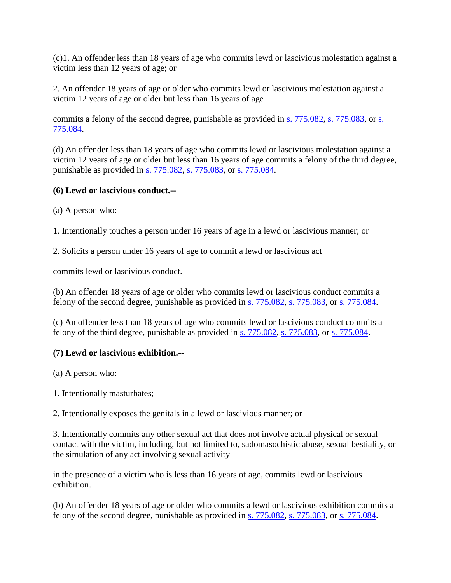(c)1. An offender less than 18 years of age who commits lewd or lascivious molestation against a victim less than 12 years of age; or

2. An offender 18 years of age or older who commits lewd or lascivious molestation against a victim 12 years of age or older but less than 16 years of age

commits a felony of the second degree, punishable as provided in [s. 775.082,](http://web2.westlaw.com/find/default.wl?mt=WestlawGC&db=1000006&rs=WLW14.07&docname=FLSTS775.082&rp=%2ffind%2fdefault.wl&findtype=L&ordoc=686050&tc=-1&vr=2.0&fn=_top&sv=Split&tf=-1&pbc=BDDC39AB&utid=%7bBD98F1B8-D3C1-4394-86A2-B0BE1D78C8DE%7d) [s. 775.083,](http://web2.westlaw.com/find/default.wl?mt=WestlawGC&db=1000006&rs=WLW14.07&docname=FLSTS775.083&rp=%2ffind%2fdefault.wl&findtype=L&ordoc=686050&tc=-1&vr=2.0&fn=_top&sv=Split&tf=-1&pbc=BDDC39AB&utid=%7bBD98F1B8-D3C1-4394-86A2-B0BE1D78C8DE%7d) or s. [775.084.](http://web2.westlaw.com/find/default.wl?mt=WestlawGC&db=1000006&rs=WLW14.07&docname=FLSTS775.084&rp=%2ffind%2fdefault.wl&findtype=L&ordoc=686050&tc=-1&vr=2.0&fn=_top&sv=Split&tf=-1&pbc=BDDC39AB&utid=%7bBD98F1B8-D3C1-4394-86A2-B0BE1D78C8DE%7d)

(d) An offender less than 18 years of age who commits lewd or lascivious molestation against a victim 12 years of age or older but less than 16 years of age commits a felony of the third degree, punishable as provided in [s. 775.082,](http://web2.westlaw.com/find/default.wl?mt=WestlawGC&db=1000006&rs=WLW14.07&docname=FLSTS775.082&rp=%2ffind%2fdefault.wl&findtype=L&ordoc=686050&tc=-1&vr=2.0&fn=_top&sv=Split&tf=-1&pbc=BDDC39AB&utid=%7bBD98F1B8-D3C1-4394-86A2-B0BE1D78C8DE%7d) [s. 775.083,](http://web2.westlaw.com/find/default.wl?mt=WestlawGC&db=1000006&rs=WLW14.07&docname=FLSTS775.083&rp=%2ffind%2fdefault.wl&findtype=L&ordoc=686050&tc=-1&vr=2.0&fn=_top&sv=Split&tf=-1&pbc=BDDC39AB&utid=%7bBD98F1B8-D3C1-4394-86A2-B0BE1D78C8DE%7d) or [s. 775.084.](http://web2.westlaw.com/find/default.wl?mt=WestlawGC&db=1000006&rs=WLW14.07&docname=FLSTS775.084&rp=%2ffind%2fdefault.wl&findtype=L&ordoc=686050&tc=-1&vr=2.0&fn=_top&sv=Split&tf=-1&pbc=BDDC39AB&utid=%7bBD98F1B8-D3C1-4394-86A2-B0BE1D78C8DE%7d)

#### **(6) Lewd or lascivious conduct.--**

(a) A person who:

1. Intentionally touches a person under 16 years of age in a lewd or lascivious manner; or

2. Solicits a person under 16 years of age to commit a lewd or lascivious act

commits lewd or lascivious conduct.

(b) An offender 18 years of age or older who commits lewd or lascivious conduct commits a felony of the second degree, punishable as provided in [s. 775.082,](http://web2.westlaw.com/find/default.wl?mt=WestlawGC&db=1000006&rs=WLW14.07&docname=FLSTS775.082&rp=%2ffind%2fdefault.wl&findtype=L&ordoc=686050&tc=-1&vr=2.0&fn=_top&sv=Split&tf=-1&pbc=BDDC39AB&utid=%7bBD98F1B8-D3C1-4394-86A2-B0BE1D78C8DE%7d) [s. 775.083,](http://web2.westlaw.com/find/default.wl?mt=WestlawGC&db=1000006&rs=WLW14.07&docname=FLSTS775.083&rp=%2ffind%2fdefault.wl&findtype=L&ordoc=686050&tc=-1&vr=2.0&fn=_top&sv=Split&tf=-1&pbc=BDDC39AB&utid=%7bBD98F1B8-D3C1-4394-86A2-B0BE1D78C8DE%7d) or [s. 775.084.](http://web2.westlaw.com/find/default.wl?mt=WestlawGC&db=1000006&rs=WLW14.07&docname=FLSTS775.084&rp=%2ffind%2fdefault.wl&findtype=L&ordoc=686050&tc=-1&vr=2.0&fn=_top&sv=Split&tf=-1&pbc=BDDC39AB&utid=%7bBD98F1B8-D3C1-4394-86A2-B0BE1D78C8DE%7d)

(c) An offender less than 18 years of age who commits lewd or lascivious conduct commits a felony of the third degree, punishable as provided in [s. 775.082,](http://web2.westlaw.com/find/default.wl?mt=WestlawGC&db=1000006&rs=WLW14.07&docname=FLSTS775.082&rp=%2ffind%2fdefault.wl&findtype=L&ordoc=686050&tc=-1&vr=2.0&fn=_top&sv=Split&tf=-1&pbc=BDDC39AB&utid=%7bBD98F1B8-D3C1-4394-86A2-B0BE1D78C8DE%7d) [s. 775.083,](http://web2.westlaw.com/find/default.wl?mt=WestlawGC&db=1000006&rs=WLW14.07&docname=FLSTS775.083&rp=%2ffind%2fdefault.wl&findtype=L&ordoc=686050&tc=-1&vr=2.0&fn=_top&sv=Split&tf=-1&pbc=BDDC39AB&utid=%7bBD98F1B8-D3C1-4394-86A2-B0BE1D78C8DE%7d) or [s. 775.084.](http://web2.westlaw.com/find/default.wl?mt=WestlawGC&db=1000006&rs=WLW14.07&docname=FLSTS775.084&rp=%2ffind%2fdefault.wl&findtype=L&ordoc=686050&tc=-1&vr=2.0&fn=_top&sv=Split&tf=-1&pbc=BDDC39AB&utid=%7bBD98F1B8-D3C1-4394-86A2-B0BE1D78C8DE%7d)

#### **(7) Lewd or lascivious exhibition.--**

(a) A person who:

1. Intentionally masturbates;

2. Intentionally exposes the genitals in a lewd or lascivious manner; or

3. Intentionally commits any other sexual act that does not involve actual physical or sexual contact with the victim, including, but not limited to, sadomasochistic abuse, sexual bestiality, or the simulation of any act involving sexual activity

in the presence of a victim who is less than 16 years of age, commits lewd or lascivious exhibition.

(b) An offender 18 years of age or older who commits a lewd or lascivious exhibition commits a felony of the second degree, punishable as provided in [s. 775.082,](http://web2.westlaw.com/find/default.wl?mt=WestlawGC&db=1000006&rs=WLW14.07&docname=FLSTS775.082&rp=%2ffind%2fdefault.wl&findtype=L&ordoc=686050&tc=-1&vr=2.0&fn=_top&sv=Split&tf=-1&pbc=BDDC39AB&utid=%7bBD98F1B8-D3C1-4394-86A2-B0BE1D78C8DE%7d) [s. 775.083,](http://web2.westlaw.com/find/default.wl?mt=WestlawGC&db=1000006&rs=WLW14.07&docname=FLSTS775.083&rp=%2ffind%2fdefault.wl&findtype=L&ordoc=686050&tc=-1&vr=2.0&fn=_top&sv=Split&tf=-1&pbc=BDDC39AB&utid=%7bBD98F1B8-D3C1-4394-86A2-B0BE1D78C8DE%7d) or [s. 775.084.](http://web2.westlaw.com/find/default.wl?mt=WestlawGC&db=1000006&rs=WLW14.07&docname=FLSTS775.084&rp=%2ffind%2fdefault.wl&findtype=L&ordoc=686050&tc=-1&vr=2.0&fn=_top&sv=Split&tf=-1&pbc=BDDC39AB&utid=%7bBD98F1B8-D3C1-4394-86A2-B0BE1D78C8DE%7d)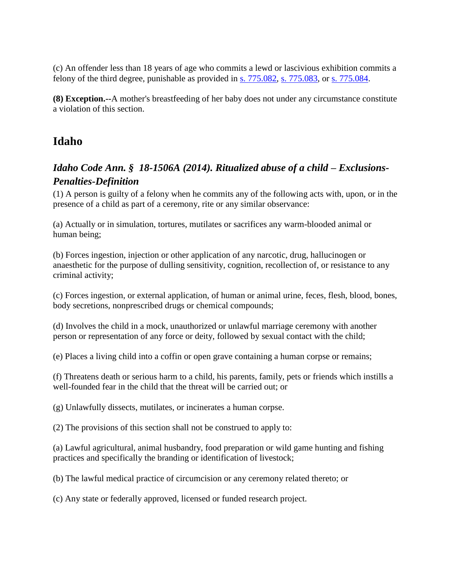(c) An offender less than 18 years of age who commits a lewd or lascivious exhibition commits a felony of the third degree, punishable as provided in s. 775.082, s. 775.083, or s. 775.084.

**(8) Exception.--**A mother's breastfeeding of her baby does not under any circumstance constitute a violation of this section.

# <span id="page-4-0"></span>**Idaho**

## <span id="page-4-1"></span>*Idaho Code Ann. § 18-1506A (2014). Ritualized abuse of a child – Exclusions-Penalties-Definition*

(1) A person is guilty of a felony when he commits any of the following acts with, upon, or in the presence of a child as part of a ceremony, rite or any similar observance:

(a) Actually or in simulation, tortures, mutilates or sacrifices any warm-blooded animal or human being;

(b) Forces ingestion, injection or other application of any narcotic, drug, hallucinogen or anaesthetic for the purpose of dulling sensitivity, cognition, recollection of, or resistance to any criminal activity;

(c) Forces ingestion, or external application, of human or animal urine, feces, flesh, blood, bones, body secretions, nonprescribed drugs or chemical compounds;

(d) Involves the child in a mock, unauthorized or unlawful marriage ceremony with another person or representation of any force or deity, followed by sexual contact with the child;

(e) Places a living child into a coffin or open grave containing a human corpse or remains;

(f) Threatens death or serious harm to a child, his parents, family, pets or friends which instills a well-founded fear in the child that the threat will be carried out; or

(g) Unlawfully dissects, mutilates, or incinerates a human corpse.

(2) The provisions of this section shall not be construed to apply to:

(a) Lawful agricultural, animal husbandry, food preparation or wild game hunting and fishing practices and specifically the branding or identification of livestock;

(b) The lawful medical practice of circumcision or any ceremony related thereto; or

(c) Any state or federally approved, licensed or funded research project.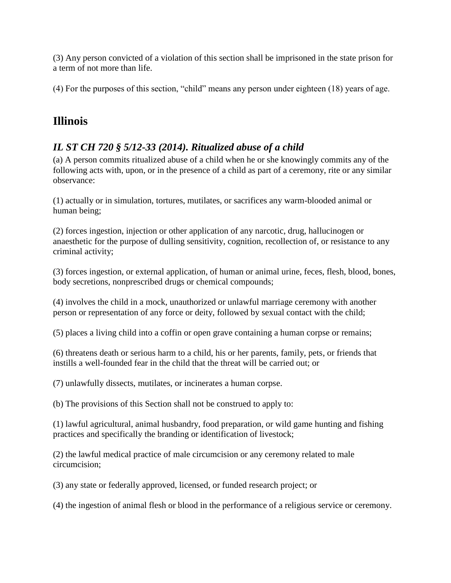(3) Any person convicted of a violation of this section shall be imprisoned in the state prison for a term of not more than life.

(4) For the purposes of this section, "child" means any person under eighteen (18) years of age.

# <span id="page-5-0"></span>**Illinois**

# <span id="page-5-1"></span>*IL ST CH 720 § 5/12-33 (2014). Ritualized abuse of a child*

(a) A person commits ritualized abuse of a child when he or she knowingly commits any of the following acts with, upon, or in the presence of a child as part of a ceremony, rite or any similar observance:

(1) actually or in simulation, tortures, mutilates, or sacrifices any warm-blooded animal or human being;

(2) forces ingestion, injection or other application of any narcotic, drug, hallucinogen or anaesthetic for the purpose of dulling sensitivity, cognition, recollection of, or resistance to any criminal activity;

(3) forces ingestion, or external application, of human or animal urine, feces, flesh, blood, bones, body secretions, nonprescribed drugs or chemical compounds;

(4) involves the child in a mock, unauthorized or unlawful marriage ceremony with another person or representation of any force or deity, followed by sexual contact with the child;

(5) places a living child into a coffin or open grave containing a human corpse or remains;

(6) threatens death or serious harm to a child, his or her parents, family, pets, or friends that instills a well-founded fear in the child that the threat will be carried out; or

(7) unlawfully dissects, mutilates, or incinerates a human corpse.

(b) The provisions of this Section shall not be construed to apply to:

(1) lawful agricultural, animal husbandry, food preparation, or wild game hunting and fishing practices and specifically the branding or identification of livestock;

(2) the lawful medical practice of male circumcision or any ceremony related to male circumcision;

(3) any state or federally approved, licensed, or funded research project; or

(4) the ingestion of animal flesh or blood in the performance of a religious service or ceremony.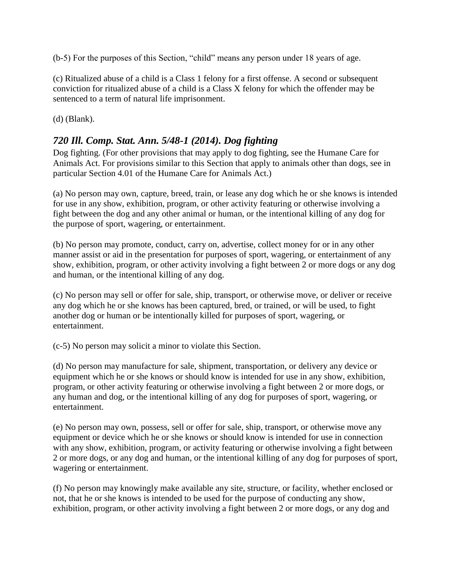(b-5) For the purposes of this Section, "child" means any person under 18 years of age.

(c) Ritualized abuse of a child is a Class 1 felony for a first offense. A second or subsequent conviction for ritualized abuse of a child is a Class X felony for which the offender may be sentenced to a term of natural life imprisonment.

(d) (Blank).

#### <span id="page-6-0"></span>*720 Ill. Comp. Stat. Ann. 5/48-1 (2014). Dog fighting*

Dog fighting. (For other provisions that may apply to dog fighting, see the Humane Care for Animals Act. For provisions similar to this Section that apply to animals other than dogs, see in particular Section 4.01 of the Humane Care for Animals Act.)

(a) No person may own, capture, breed, train, or lease any dog which he or she knows is intended for use in any show, exhibition, program, or other activity featuring or otherwise involving a fight between the dog and any other animal or human, or the intentional killing of any dog for the purpose of sport, wagering, or entertainment.

(b) No person may promote, conduct, carry on, advertise, collect money for or in any other manner assist or aid in the presentation for purposes of sport, wagering, or entertainment of any show, exhibition, program, or other activity involving a fight between 2 or more dogs or any dog and human, or the intentional killing of any dog.

(c) No person may sell or offer for sale, ship, transport, or otherwise move, or deliver or receive any dog which he or she knows has been captured, bred, or trained, or will be used, to fight another dog or human or be intentionally killed for purposes of sport, wagering, or entertainment.

(c-5) No person may solicit a minor to violate this Section.

(d) No person may manufacture for sale, shipment, transportation, or delivery any device or equipment which he or she knows or should know is intended for use in any show, exhibition, program, or other activity featuring or otherwise involving a fight between 2 or more dogs, or any human and dog, or the intentional killing of any dog for purposes of sport, wagering, or entertainment.

(e) No person may own, possess, sell or offer for sale, ship, transport, or otherwise move any equipment or device which he or she knows or should know is intended for use in connection with any show, exhibition, program, or activity featuring or otherwise involving a fight between 2 or more dogs, or any dog and human, or the intentional killing of any dog for purposes of sport, wagering or entertainment.

(f) No person may knowingly make available any site, structure, or facility, whether enclosed or not, that he or she knows is intended to be used for the purpose of conducting any show, exhibition, program, or other activity involving a fight between 2 or more dogs, or any dog and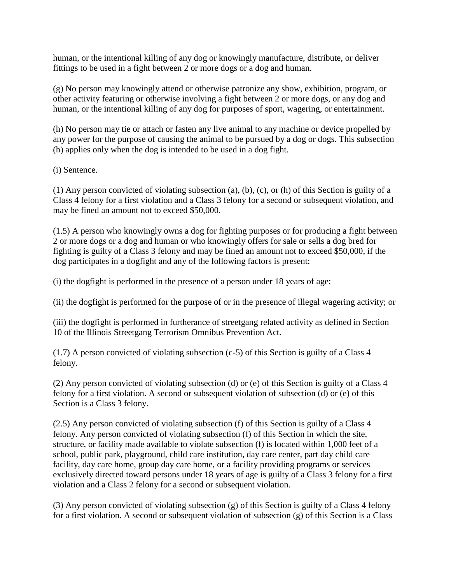human, or the intentional killing of any dog or knowingly manufacture, distribute, or deliver fittings to be used in a fight between 2 or more dogs or a dog and human.

(g) No person may knowingly attend or otherwise patronize any show, exhibition, program, or other activity featuring or otherwise involving a fight between 2 or more dogs, or any dog and human, or the intentional killing of any dog for purposes of sport, wagering, or entertainment.

(h) No person may tie or attach or fasten any live animal to any machine or device propelled by any power for the purpose of causing the animal to be pursued by a dog or dogs. This subsection (h) applies only when the dog is intended to be used in a dog fight.

(i) Sentence.

(1) Any person convicted of violating subsection (a), (b), (c), or (h) of this Section is guilty of a Class 4 felony for a first violation and a Class 3 felony for a second or subsequent violation, and may be fined an amount not to exceed \$50,000.

(1.5) A person who knowingly owns a dog for fighting purposes or for producing a fight between 2 or more dogs or a dog and human or who knowingly offers for sale or sells a dog bred for fighting is guilty of a Class 3 felony and may be fined an amount not to exceed \$50,000, if the dog participates in a dogfight and any of the following factors is present:

(i) the dogfight is performed in the presence of a person under 18 years of age;

(ii) the dogfight is performed for the purpose of or in the presence of illegal wagering activity; or

(iii) the dogfight is performed in furtherance of streetgang related activity as defined in Section 10 of the Illinois Streetgang Terrorism Omnibus Prevention Act.

(1.7) A person convicted of violating subsection (c-5) of this Section is guilty of a Class 4 felony.

(2) Any person convicted of violating subsection (d) or (e) of this Section is guilty of a Class 4 felony for a first violation. A second or subsequent violation of subsection (d) or (e) of this Section is a Class 3 felony.

(2.5) Any person convicted of violating subsection (f) of this Section is guilty of a Class 4 felony. Any person convicted of violating subsection (f) of this Section in which the site, structure, or facility made available to violate subsection (f) is located within 1,000 feet of a school, public park, playground, child care institution, day care center, part day child care facility, day care home, group day care home, or a facility providing programs or services exclusively directed toward persons under 18 years of age is guilty of a Class 3 felony for a first violation and a Class 2 felony for a second or subsequent violation.

(3) Any person convicted of violating subsection (g) of this Section is guilty of a Class 4 felony for a first violation. A second or subsequent violation of subsection (g) of this Section is a Class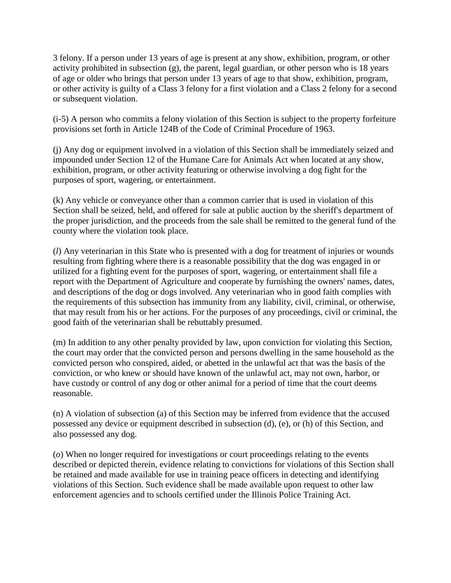3 felony. If a person under 13 years of age is present at any show, exhibition, program, or other activity prohibited in subsection (g), the parent, legal guardian, or other person who is 18 years of age or older who brings that person under 13 years of age to that show, exhibition, program, or other activity is guilty of a Class 3 felony for a first violation and a Class 2 felony for a second or subsequent violation.

(i-5) A person who commits a felony violation of this Section is subject to the property forfeiture provisions set forth in Article 124B of the Code of Criminal Procedure of 1963.

(j) Any dog or equipment involved in a violation of this Section shall be immediately seized and impounded under Section 12 of the Humane Care for Animals Act when located at any show, exhibition, program, or other activity featuring or otherwise involving a dog fight for the purposes of sport, wagering, or entertainment.

(k) Any vehicle or conveyance other than a common carrier that is used in violation of this Section shall be seized, held, and offered for sale at public auction by the sheriff's department of the proper jurisdiction, and the proceeds from the sale shall be remitted to the general fund of the county where the violation took place.

(*l*) Any veterinarian in this State who is presented with a dog for treatment of injuries or wounds resulting from fighting where there is a reasonable possibility that the dog was engaged in or utilized for a fighting event for the purposes of sport, wagering, or entertainment shall file a report with the Department of Agriculture and cooperate by furnishing the owners' names, dates, and descriptions of the dog or dogs involved. Any veterinarian who in good faith complies with the requirements of this subsection has immunity from any liability, civil, criminal, or otherwise, that may result from his or her actions. For the purposes of any proceedings, civil or criminal, the good faith of the veterinarian shall be rebuttably presumed.

(m) In addition to any other penalty provided by law, upon conviction for violating this Section, the court may order that the convicted person and persons dwelling in the same household as the convicted person who conspired, aided, or abetted in the unlawful act that was the basis of the conviction, or who knew or should have known of the unlawful act, may not own, harbor, or have custody or control of any dog or other animal for a period of time that the court deems reasonable.

(n) A violation of subsection (a) of this Section may be inferred from evidence that the accused possessed any device or equipment described in subsection (d), (e), or (h) of this Section, and also possessed any dog.

(*o*) When no longer required for investigations or court proceedings relating to the events described or depicted therein, evidence relating to convictions for violations of this Section shall be retained and made available for use in training peace officers in detecting and identifying violations of this Section. Such evidence shall be made available upon request to other law enforcement agencies and to schools certified under the Illinois Police Training Act.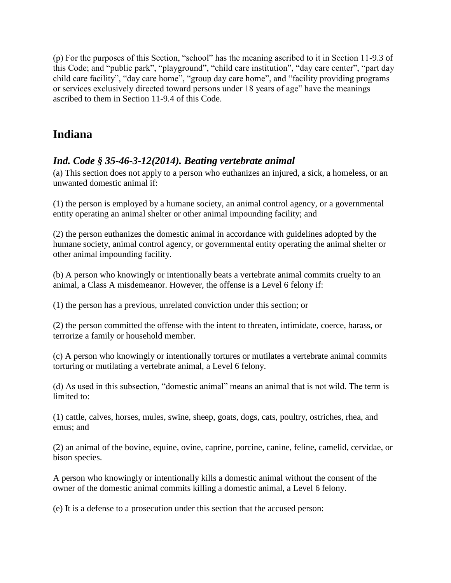(p) For the purposes of this Section, "school" has the meaning ascribed to it in Section 11-9.3 of this Code; and "public park", "playground", "child care institution", "day care center", "part day child care facility", "day care home", "group day care home", and "facility providing programs or services exclusively directed toward persons under 18 years of age" have the meanings ascribed to them in Section 11-9.4 of this Code.

# <span id="page-9-0"></span>**Indiana**

## <span id="page-9-1"></span>*Ind. Code § 35-46-3-12(2014). Beating vertebrate animal*

(a) This section does not apply to a person who euthanizes an injured, a sick, a homeless, or an unwanted domestic animal if:

(1) the person is employed by a humane society, an animal control agency, or a governmental entity operating an animal shelter or other animal impounding facility; and

(2) the person euthanizes the domestic animal in accordance with guidelines adopted by the humane society, animal control agency, or governmental entity operating the animal shelter or other animal impounding facility.

(b) A person who knowingly or intentionally beats a vertebrate animal commits cruelty to an animal, a Class A misdemeanor. However, the offense is a Level 6 felony if:

(1) the person has a previous, unrelated conviction under this section; or

(2) the person committed the offense with the intent to threaten, intimidate, coerce, harass, or terrorize a family or household member.

(c) A person who knowingly or intentionally tortures or mutilates a vertebrate animal commits torturing or mutilating a vertebrate animal, a Level 6 felony.

(d) As used in this subsection, "domestic animal" means an animal that is not wild. The term is limited to:

(1) cattle, calves, horses, mules, swine, sheep, goats, dogs, cats, poultry, ostriches, rhea, and emus; and

(2) an animal of the bovine, equine, ovine, caprine, porcine, canine, feline, camelid, cervidae, or bison species.

A person who knowingly or intentionally kills a domestic animal without the consent of the owner of the domestic animal commits killing a domestic animal, a Level 6 felony.

(e) It is a defense to a prosecution under this section that the accused person: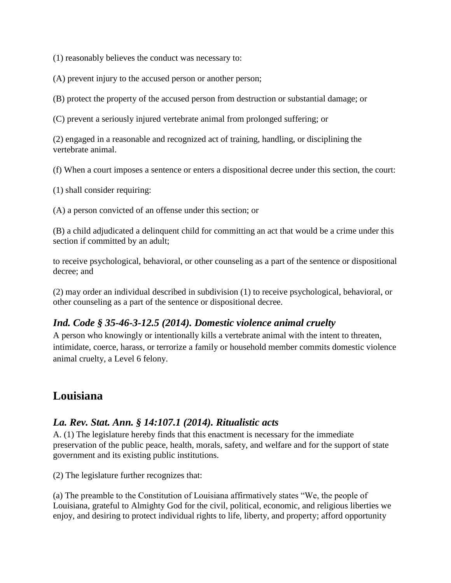(1) reasonably believes the conduct was necessary to:

(A) prevent injury to the accused person or another person;

(B) protect the property of the accused person from destruction or substantial damage; or

(C) prevent a seriously injured vertebrate animal from prolonged suffering; or

(2) engaged in a reasonable and recognized act of training, handling, or disciplining the vertebrate animal.

(f) When a court imposes a sentence or enters a dispositional decree under this section, the court:

(1) shall consider requiring:

(A) a person convicted of an offense under this section; or

(B) a child adjudicated a delinquent child for committing an act that would be a crime under this section if committed by an adult;

to receive psychological, behavioral, or other counseling as a part of the sentence or dispositional decree; and

(2) may order an individual described in subdivision (1) to receive psychological, behavioral, or other counseling as a part of the sentence or dispositional decree.

#### <span id="page-10-0"></span>*Ind. Code § 35-46-3-12.5 (2014). Domestic violence animal cruelty*

A person who knowingly or intentionally kills a vertebrate animal with the intent to threaten, intimidate, coerce, harass, or terrorize a family or household member commits domestic violence animal cruelty, a Level 6 felony.

# <span id="page-10-1"></span>**Louisiana**

#### <span id="page-10-2"></span>*La. Rev. Stat. Ann. § 14:107.1 (2014). Ritualistic acts*

A. (1) The legislature hereby finds that this enactment is necessary for the immediate preservation of the public peace, health, morals, safety, and welfare and for the support of state government and its existing public institutions.

(2) The legislature further recognizes that:

(a) The preamble to the Constitution of Louisiana affirmatively states "We, the people of Louisiana, grateful to Almighty God for the civil, political, economic, and religious liberties we enjoy, and desiring to protect individual rights to life, liberty, and property; afford opportunity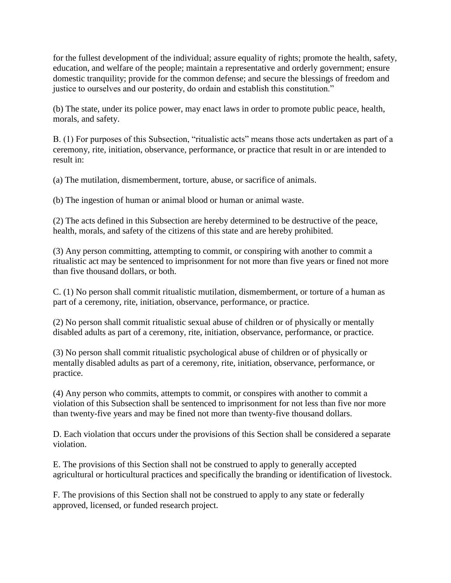for the fullest development of the individual; assure equality of rights; promote the health, safety, education, and welfare of the people; maintain a representative and orderly government; ensure domestic tranquility; provide for the common defense; and secure the blessings of freedom and justice to ourselves and our posterity, do ordain and establish this constitution."

(b) The state, under its police power, may enact laws in order to promote public peace, health, morals, and safety.

B. (1) For purposes of this Subsection, "ritualistic acts" means those acts undertaken as part of a ceremony, rite, initiation, observance, performance, or practice that result in or are intended to result in:

(a) The mutilation, dismemberment, torture, abuse, or sacrifice of animals.

(b) The ingestion of human or animal blood or human or animal waste.

(2) The acts defined in this Subsection are hereby determined to be destructive of the peace, health, morals, and safety of the citizens of this state and are hereby prohibited.

(3) Any person committing, attempting to commit, or conspiring with another to commit a ritualistic act may be sentenced to imprisonment for not more than five years or fined not more than five thousand dollars, or both.

C. (1) No person shall commit ritualistic mutilation, dismemberment, or torture of a human as part of a ceremony, rite, initiation, observance, performance, or practice.

(2) No person shall commit ritualistic sexual abuse of children or of physically or mentally disabled adults as part of a ceremony, rite, initiation, observance, performance, or practice.

(3) No person shall commit ritualistic psychological abuse of children or of physically or mentally disabled adults as part of a ceremony, rite, initiation, observance, performance, or practice.

(4) Any person who commits, attempts to commit, or conspires with another to commit a violation of this Subsection shall be sentenced to imprisonment for not less than five nor more than twenty-five years and may be fined not more than twenty-five thousand dollars.

D. Each violation that occurs under the provisions of this Section shall be considered a separate violation.

E. The provisions of this Section shall not be construed to apply to generally accepted agricultural or horticultural practices and specifically the branding or identification of livestock.

F. The provisions of this Section shall not be construed to apply to any state or federally approved, licensed, or funded research project.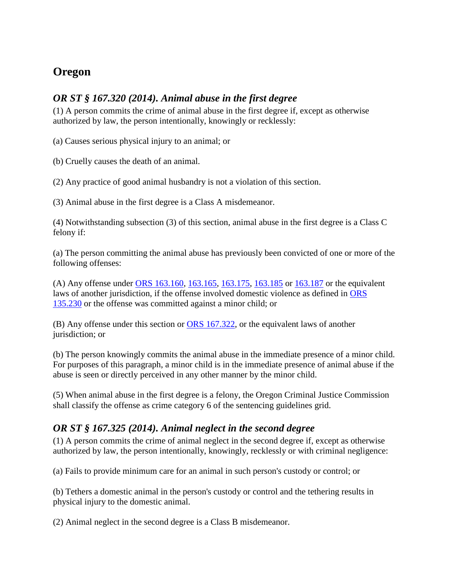# <span id="page-12-0"></span>**Oregon**

#### <span id="page-12-1"></span>*OR ST § 167.320 (2014). Animal abuse in the first degree*

(1) A person commits the crime of animal abuse in the first degree if, except as otherwise authorized by law, the person intentionally, knowingly or recklessly:

(a) Causes serious physical injury to an animal; or

(b) Cruelly causes the death of an animal.

(2) Any practice of good animal husbandry is not a violation of this section.

(3) Animal abuse in the first degree is a Class A misdemeanor.

(4) Notwithstanding subsection (3) of this section, animal abuse in the first degree is a Class C felony if:

(a) The person committing the animal abuse has previously been convicted of one or more of the following offenses:

(A) Any offense under [ORS 163.160,](http://web2.westlaw.com/find/default.wl?mt=WestlawGC&db=1000534&rs=WLW14.07&docname=ORSTS163.160&rp=%2ffind%2fdefault.wl&findtype=L&ordoc=11093897&tc=-1&vr=2.0&fn=_top&sv=Split&tf=-1&pbc=6741F19D&utid=%7bBD98F1B8-D3C1-4394-86A2-B0BE1D78C8DE%7d) [163.165,](http://web2.westlaw.com/find/default.wl?mt=WestlawGC&db=1000534&rs=WLW14.07&docname=ORSTS163.165&rp=%2ffind%2fdefault.wl&findtype=L&ordoc=11093897&tc=-1&vr=2.0&fn=_top&sv=Split&tf=-1&pbc=6741F19D&utid=%7bBD98F1B8-D3C1-4394-86A2-B0BE1D78C8DE%7d) [163.175,](http://web2.westlaw.com/find/default.wl?mt=WestlawGC&db=1000534&rs=WLW14.07&docname=ORSTS163.175&rp=%2ffind%2fdefault.wl&findtype=L&ordoc=11093897&tc=-1&vr=2.0&fn=_top&sv=Split&tf=-1&pbc=6741F19D&utid=%7bBD98F1B8-D3C1-4394-86A2-B0BE1D78C8DE%7d) [163.185](http://web2.westlaw.com/find/default.wl?mt=WestlawGC&db=1000534&rs=WLW14.07&docname=ORSTS163.185&rp=%2ffind%2fdefault.wl&findtype=L&ordoc=11093897&tc=-1&vr=2.0&fn=_top&sv=Split&tf=-1&pbc=6741F19D&utid=%7bBD98F1B8-D3C1-4394-86A2-B0BE1D78C8DE%7d) or [163.187](http://web2.westlaw.com/find/default.wl?mt=WestlawGC&db=1000534&rs=WLW14.07&docname=ORSTS163.187&rp=%2ffind%2fdefault.wl&findtype=L&ordoc=11093897&tc=-1&vr=2.0&fn=_top&sv=Split&tf=-1&pbc=6741F19D&utid=%7bBD98F1B8-D3C1-4394-86A2-B0BE1D78C8DE%7d) or the equivalent laws of another jurisdiction, if the offense involved domestic violence as defined in [ORS](http://web2.westlaw.com/find/default.wl?mt=WestlawGC&db=1000534&rs=WLW14.07&docname=ORSTS135.230&rp=%2ffind%2fdefault.wl&findtype=L&ordoc=11093897&tc=-1&vr=2.0&fn=_top&sv=Split&tf=-1&pbc=6741F19D&utid=%7bBD98F1B8-D3C1-4394-86A2-B0BE1D78C8DE%7d)  [135.230](http://web2.westlaw.com/find/default.wl?mt=WestlawGC&db=1000534&rs=WLW14.07&docname=ORSTS135.230&rp=%2ffind%2fdefault.wl&findtype=L&ordoc=11093897&tc=-1&vr=2.0&fn=_top&sv=Split&tf=-1&pbc=6741F19D&utid=%7bBD98F1B8-D3C1-4394-86A2-B0BE1D78C8DE%7d) or the offense was committed against a minor child; or

(B) Any offense under this section or [ORS 167.322,](http://web2.westlaw.com/find/default.wl?mt=WestlawGC&db=1000534&rs=WLW14.07&docname=ORSTS167.322&rp=%2ffind%2fdefault.wl&findtype=L&ordoc=11093897&tc=-1&vr=2.0&fn=_top&sv=Split&tf=-1&pbc=6741F19D&utid=%7bBD98F1B8-D3C1-4394-86A2-B0BE1D78C8DE%7d) or the equivalent laws of another jurisdiction; or

(b) The person knowingly commits the animal abuse in the immediate presence of a minor child. For purposes of this paragraph, a minor child is in the immediate presence of animal abuse if the abuse is seen or directly perceived in any other manner by the minor child.

(5) When animal abuse in the first degree is a felony, the Oregon Criminal Justice Commission shall classify the offense as crime category 6 of the sentencing guidelines grid.

#### <span id="page-12-2"></span>*OR ST § 167.325 (2014). Animal neglect in the second degree*

(1) A person commits the crime of animal neglect in the second degree if, except as otherwise authorized by law, the person intentionally, knowingly, recklessly or with criminal negligence:

(a) Fails to provide minimum care for an animal in such person's custody or control; or

(b) Tethers a domestic animal in the person's custody or control and the tethering results in physical injury to the domestic animal.

(2) Animal neglect in the second degree is a Class B misdemeanor.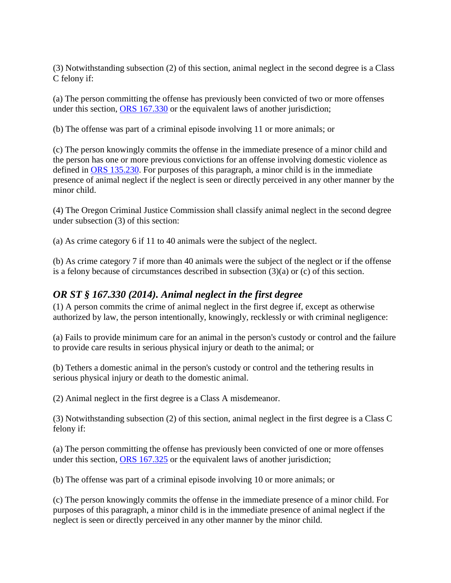(3) Notwithstanding subsection (2) of this section, animal neglect in the second degree is a Class C felony if:

(a) The person committing the offense has previously been convicted of two or more offenses under this section, [ORS 167.330](http://web2.westlaw.com/find/default.wl?mt=WestlawGC&db=1000534&rs=WLW14.07&docname=ORSTS167.330&rp=%2ffind%2fdefault.wl&findtype=L&ordoc=11093899&tc=-1&vr=2.0&fn=_top&sv=Split&tf=-1&pbc=6741F19D&utid=%7bBD98F1B8-D3C1-4394-86A2-B0BE1D78C8DE%7d) or the equivalent laws of another jurisdiction;

(b) The offense was part of a criminal episode involving 11 or more animals; or

(c) The person knowingly commits the offense in the immediate presence of a minor child and the person has one or more previous convictions for an offense involving domestic violence as defined in [ORS 135.230.](http://web2.westlaw.com/find/default.wl?mt=WestlawGC&db=1000534&rs=WLW14.07&docname=ORSTS135.230&rp=%2ffind%2fdefault.wl&findtype=L&ordoc=11093899&tc=-1&vr=2.0&fn=_top&sv=Split&tf=-1&pbc=6741F19D&utid=%7bBD98F1B8-D3C1-4394-86A2-B0BE1D78C8DE%7d) For purposes of this paragraph, a minor child is in the immediate presence of animal neglect if the neglect is seen or directly perceived in any other manner by the minor child.

(4) The Oregon Criminal Justice Commission shall classify animal neglect in the second degree under subsection (3) of this section:

(a) As crime category 6 if 11 to 40 animals were the subject of the neglect.

(b) As crime category 7 if more than 40 animals were the subject of the neglect or if the offense is a felony because of circumstances described in subsection (3)(a) or (c) of this section.

#### <span id="page-13-0"></span>*OR ST § 167.330 (2014). Animal neglect in the first degree*

(1) A person commits the crime of animal neglect in the first degree if, except as otherwise authorized by law, the person intentionally, knowingly, recklessly or with criminal negligence:

(a) Fails to provide minimum care for an animal in the person's custody or control and the failure to provide care results in serious physical injury or death to the animal; or

(b) Tethers a domestic animal in the person's custody or control and the tethering results in serious physical injury or death to the domestic animal.

(2) Animal neglect in the first degree is a Class A misdemeanor.

(3) Notwithstanding subsection (2) of this section, animal neglect in the first degree is a Class C felony if:

(a) The person committing the offense has previously been convicted of one or more offenses under this section, [ORS 167.325](http://web2.westlaw.com/find/default.wl?mt=WestlawGC&db=1000534&rs=WLW14.07&docname=ORSTS167.325&rp=%2ffind%2fdefault.wl&findtype=L&ordoc=11093900&tc=-1&vr=2.0&fn=_top&sv=Split&tf=-1&pbc=6741F19D&utid=%7bBD98F1B8-D3C1-4394-86A2-B0BE1D78C8DE%7d) or the equivalent laws of another jurisdiction;

(b) The offense was part of a criminal episode involving 10 or more animals; or

(c) The person knowingly commits the offense in the immediate presence of a minor child. For purposes of this paragraph, a minor child is in the immediate presence of animal neglect if the neglect is seen or directly perceived in any other manner by the minor child.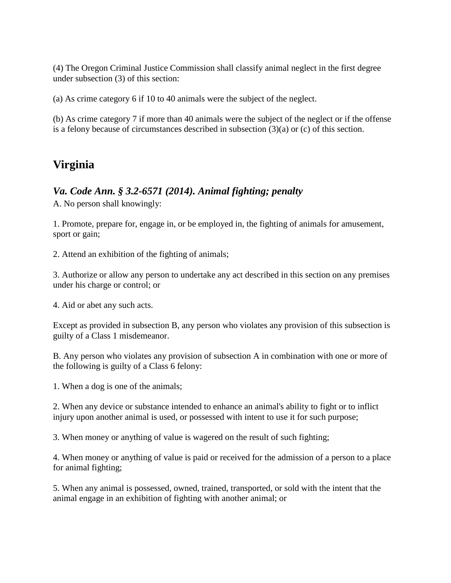(4) The Oregon Criminal Justice Commission shall classify animal neglect in the first degree under subsection (3) of this section:

(a) As crime category 6 if 10 to 40 animals were the subject of the neglect.

(b) As crime category 7 if more than 40 animals were the subject of the neglect or if the offense is a felony because of circumstances described in subsection  $(3)(a)$  or  $(c)$  of this section.

# <span id="page-14-0"></span>**Virginia**

#### <span id="page-14-1"></span>*Va. Code Ann. § 3.2-6571 (2014). Animal fighting; penalty*

A. No person shall knowingly:

1. Promote, prepare for, engage in, or be employed in, the fighting of animals for amusement, sport or gain;

2. Attend an exhibition of the fighting of animals;

3. Authorize or allow any person to undertake any act described in this section on any premises under his charge or control; or

4. Aid or abet any such acts.

Except as provided in subsection B, any person who violates any provision of this subsection is guilty of a Class 1 misdemeanor.

B. Any person who violates any provision of subsection A in combination with one or more of the following is guilty of a Class 6 felony:

1. When a dog is one of the animals;

2. When any device or substance intended to enhance an animal's ability to fight or to inflict injury upon another animal is used, or possessed with intent to use it for such purpose;

3. When money or anything of value is wagered on the result of such fighting;

4. When money or anything of value is paid or received for the admission of a person to a place for animal fighting;

5. When any animal is possessed, owned, trained, transported, or sold with the intent that the animal engage in an exhibition of fighting with another animal; or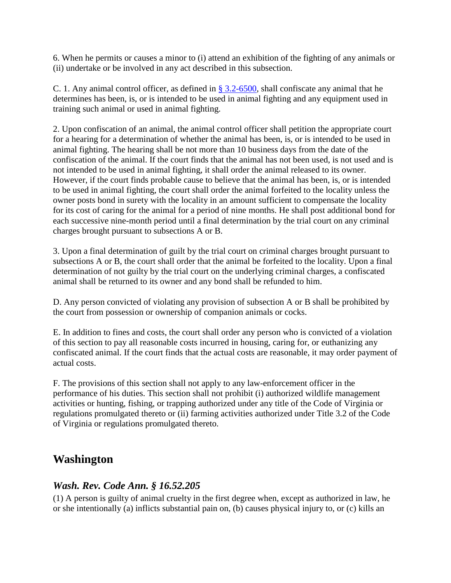6. When he permits or causes a minor to (i) attend an exhibition of the fighting of any animals or (ii) undertake or be involved in any act described in this subsection.

C. 1. Any animal control officer, as defined in  $\S 3.2-6500$ , shall confiscate any animal that he determines has been, is, or is intended to be used in animal fighting and any equipment used in training such animal or used in animal fighting.

2. Upon confiscation of an animal, the animal control officer shall petition the appropriate court for a hearing for a determination of whether the animal has been, is, or is intended to be used in animal fighting. The hearing shall be not more than 10 business days from the date of the confiscation of the animal. If the court finds that the animal has not been used, is not used and is not intended to be used in animal fighting, it shall order the animal released to its owner. However, if the court finds probable cause to believe that the animal has been, is, or is intended to be used in animal fighting, the court shall order the animal forfeited to the locality unless the owner posts bond in surety with the locality in an amount sufficient to compensate the locality for its cost of caring for the animal for a period of nine months. He shall post additional bond for each successive nine-month period until a final determination by the trial court on any criminal charges brought pursuant to subsections A or B.

3. Upon a final determination of guilt by the trial court on criminal charges brought pursuant to subsections A or B, the court shall order that the animal be forfeited to the locality. Upon a final determination of not guilty by the trial court on the underlying criminal charges, a confiscated animal shall be returned to its owner and any bond shall be refunded to him.

D. Any person convicted of violating any provision of subsection A or B shall be prohibited by the court from possession or ownership of companion animals or cocks.

E. In addition to fines and costs, the court shall order any person who is convicted of a violation of this section to pay all reasonable costs incurred in housing, caring for, or euthanizing any confiscated animal. If the court finds that the actual costs are reasonable, it may order payment of actual costs.

F. The provisions of this section shall not apply to any law-enforcement officer in the performance of his duties. This section shall not prohibit (i) authorized wildlife management activities or hunting, fishing, or trapping authorized under any title of the Code of Virginia or regulations promulgated thereto or (ii) farming activities authorized under Title 3.2 of the Code of Virginia or regulations promulgated thereto.

# <span id="page-15-0"></span>**Washington**

#### <span id="page-15-1"></span>*Wash. Rev. Code Ann. § 16.52.205*

(1) A person is guilty of animal cruelty in the first degree when, except as authorized in law, he or she intentionally (a) inflicts substantial pain on, (b) causes physical injury to, or (c) kills an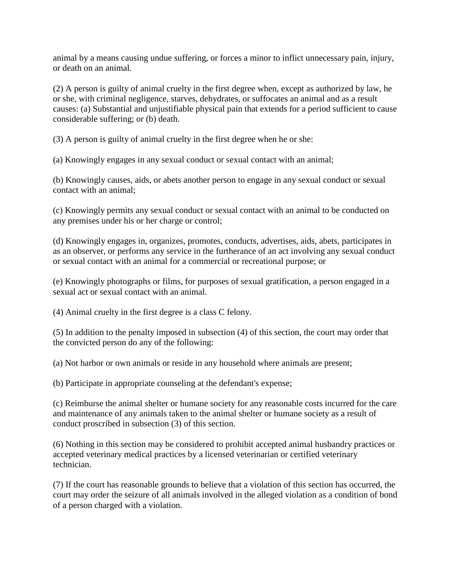animal by a means causing undue suffering, or forces a minor to inflict unnecessary pain, injury, or death on an animal.

(2) A person is guilty of animal cruelty in the first degree when, except as authorized by law, he or she, with criminal negligence, starves, dehydrates, or suffocates an animal and as a result causes: (a) Substantial and unjustifiable physical pain that extends for a period sufficient to cause considerable suffering; or (b) death.

(3) A person is guilty of animal cruelty in the first degree when he or she:

(a) Knowingly engages in any sexual conduct or sexual contact with an animal;

(b) Knowingly causes, aids, or abets another person to engage in any sexual conduct or sexual contact with an animal;

(c) Knowingly permits any sexual conduct or sexual contact with an animal to be conducted on any premises under his or her charge or control;

(d) Knowingly engages in, organizes, promotes, conducts, advertises, aids, abets, participates in as an observer, or performs any service in the furtherance of an act involving any sexual conduct or sexual contact with an animal for a commercial or recreational purpose; or

(e) Knowingly photographs or films, for purposes of sexual gratification, a person engaged in a sexual act or sexual contact with an animal.

(4) Animal cruelty in the first degree is a class C felony.

(5) In addition to the penalty imposed in subsection (4) of this section, the court may order that the convicted person do any of the following:

(a) Not harbor or own animals or reside in any household where animals are present;

(b) Participate in appropriate counseling at the defendant's expense;

(c) Reimburse the animal shelter or humane society for any reasonable costs incurred for the care and maintenance of any animals taken to the animal shelter or humane society as a result of conduct proscribed in subsection (3) of this section.

(6) Nothing in this section may be considered to prohibit accepted animal husbandry practices or accepted veterinary medical practices by a licensed veterinarian or certified veterinary technician.

(7) If the court has reasonable grounds to believe that a violation of this section has occurred, the court may order the seizure of all animals involved in the alleged violation as a condition of bond of a person charged with a violation.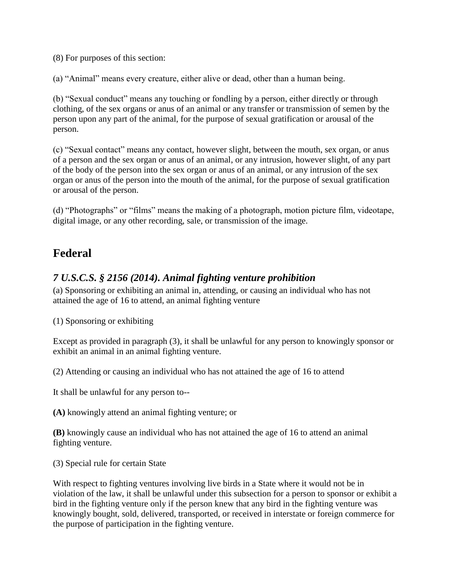(8) For purposes of this section:

(a) "Animal" means every creature, either alive or dead, other than a human being.

(b) "Sexual conduct" means any touching or fondling by a person, either directly or through clothing, of the sex organs or anus of an animal or any transfer or transmission of semen by the person upon any part of the animal, for the purpose of sexual gratification or arousal of the person.

(c) "Sexual contact" means any contact, however slight, between the mouth, sex organ, or anus of a person and the sex organ or anus of an animal, or any intrusion, however slight, of any part of the body of the person into the sex organ or anus of an animal, or any intrusion of the sex organ or anus of the person into the mouth of the animal, for the purpose of sexual gratification or arousal of the person.

(d) "Photographs" or "films" means the making of a photograph, motion picture film, videotape, digital image, or any other recording, sale, or transmission of the image.

# <span id="page-17-0"></span>**Federal**

## <span id="page-17-1"></span>*7 U.S.C.S. § 2156 (2014). Animal fighting venture prohibition*

(a) Sponsoring or exhibiting an animal in, attending, or causing an individual who has not attained the age of 16 to attend, an animal fighting venture

(1) Sponsoring or exhibiting

Except as provided in paragraph (3), it shall be unlawful for any person to knowingly sponsor or exhibit an animal in an animal fighting venture.

(2) Attending or causing an individual who has not attained the age of 16 to attend

It shall be unlawful for any person to--

**(A)** knowingly attend an animal fighting venture; or

**(B)** knowingly cause an individual who has not attained the age of 16 to attend an animal fighting venture.

(3) Special rule for certain State

With respect to fighting ventures involving live birds in a State where it would not be in violation of the law, it shall be unlawful under this subsection for a person to sponsor or exhibit a bird in the fighting venture only if the person knew that any bird in the fighting venture was knowingly bought, sold, delivered, transported, or received in interstate or foreign commerce for the purpose of participation in the fighting venture.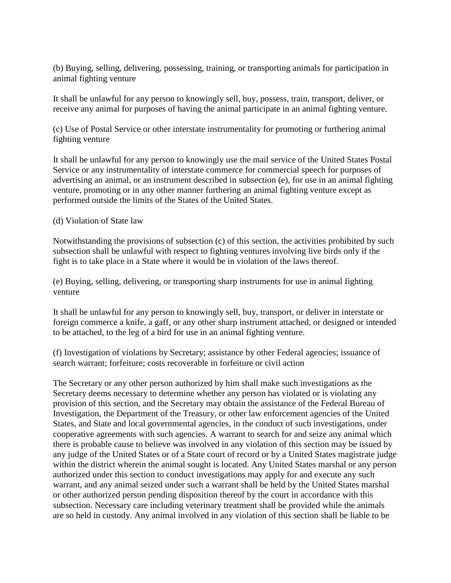(b) Buying, selling, delivering, possessing, training, or transporting animals for participation in animal fighting venture

It shall be unlawful for any person to knowingly sell, buy, possess, train, transport, deliver, or receive any animal for purposes of having the animal participate in an animal fighting venture.

(c) Use of Postal Service or other interstate instrumentality for promoting or furthering animal fighting venture

It shall be unlawful for any person to knowingly use the mail service of the United States Postal Service or any instrumentality of interstate commerce for commercial speech for purposes of advertising an animal, or an instrument described in subsection (e), for use in an animal fighting venture, promoting or in any other manner furthering an animal fighting venture except as performed outside the limits of the States of the United States.

#### (d) Violation of State law

Notwithstanding the provisions of subsection (c) of this section, the activities prohibited by such subsection shall be unlawful with respect to fighting ventures involving live birds only if the fight is to take place in a State where it would be in violation of the laws thereof.

(e) Buying, selling, delivering, or transporting sharp instruments for use in animal fighting venture

It shall be unlawful for any person to knowingly sell, buy, transport, or deliver in interstate or foreign commerce a knife, a gaff, or any other sharp instrument attached, or designed or intended to be attached, to the leg of a bird for use in an animal fighting venture.

(f) Investigation of violations by Secretary; assistance by other Federal agencies; issuance of search warrant; forfeiture; costs recoverable in forfeiture or civil action

The Secretary or any other person authorized by him shall make such investigations as the Secretary deems necessary to determine whether any person has violated or is violating any provision of this section, and the Secretary may obtain the assistance of the Federal Bureau of Investigation, the Department of the Treasury, or other law enforcement agencies of the United States, and State and local governmental agencies, in the conduct of such investigations, under cooperative agreements with such agencies. A warrant to search for and seize any animal which there is probable cause to believe was involved in any violation of this section may be issued by any judge of the United States or of a State court of record or by a United States magistrate judge within the district wherein the animal sought is located. Any United States marshal or any person authorized under this section to conduct investigations may apply for and execute any such warrant, and any animal seized under such a warrant shall be held by the United States marshal or other authorized person pending disposition thereof by the court in accordance with this subsection. Necessary care including veterinary treatment shall be provided while the animals are so held in custody. Any animal involved in any violation of this section shall be liable to be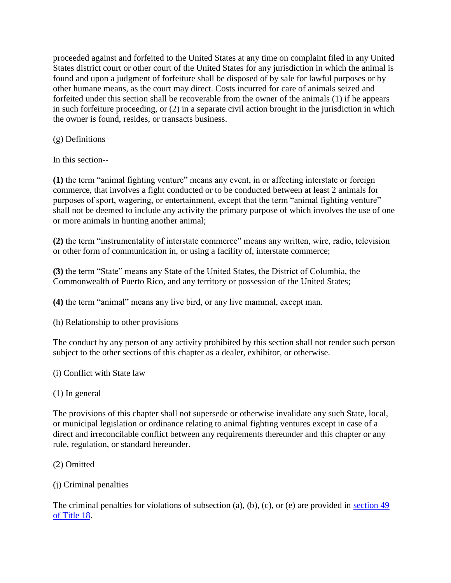proceeded against and forfeited to the United States at any time on complaint filed in any United States district court or other court of the United States for any jurisdiction in which the animal is found and upon a judgment of forfeiture shall be disposed of by sale for lawful purposes or by other humane means, as the court may direct. Costs incurred for care of animals seized and forfeited under this section shall be recoverable from the owner of the animals (1) if he appears in such forfeiture proceeding, or (2) in a separate civil action brought in the jurisdiction in which the owner is found, resides, or transacts business.

(g) Definitions

In this section--

**(1)** the term "animal fighting venture" means any event, in or affecting interstate or foreign commerce, that involves a fight conducted or to be conducted between at least 2 animals for purposes of sport, wagering, or entertainment, except that the term "animal fighting venture" shall not be deemed to include any activity the primary purpose of which involves the use of one or more animals in hunting another animal;

**(2)** the term "instrumentality of interstate commerce" means any written, wire, radio, television or other form of communication in, or using a facility of, interstate commerce;

**(3)** the term "State" means any State of the United States, the District of Columbia, the Commonwealth of Puerto Rico, and any territory or possession of the United States;

**(4)** the term "animal" means any live bird, or any live mammal, except man.

(h) Relationship to other provisions

The conduct by any person of any activity prohibited by this section shall not render such person subject to the other sections of this chapter as a dealer, exhibitor, or otherwise.

(i) Conflict with State law

(1) In general

The provisions of this chapter shall not supersede or otherwise invalidate any such State, local, or municipal legislation or ordinance relating to animal fighting ventures except in case of a direct and irreconcilable conflict between any requirements thereunder and this chapter or any rule, regulation, or standard hereunder.

- (2) Omitted
- (j) Criminal penalties

The criminal penalties for violations of subsection (a), (b), (c), or (e) are provided in [section 49](http://web2.westlaw.com/find/default.wl?mt=WestlawGC&db=1000546&rs=WLW14.10&docname=18USCAS49&rp=%2ffind%2fdefault.wl&findtype=L&ordoc=1837208&tc=-1&vr=2.0&fn=_top&sv=Split&tf=-1&pbc=165B6E8B&utid=%7bBD98F1B8-D3C1-4394-86A2-B0BE1D78C8DE%7d)  [of Title 18.](http://web2.westlaw.com/find/default.wl?mt=WestlawGC&db=1000546&rs=WLW14.10&docname=18USCAS49&rp=%2ffind%2fdefault.wl&findtype=L&ordoc=1837208&tc=-1&vr=2.0&fn=_top&sv=Split&tf=-1&pbc=165B6E8B&utid=%7bBD98F1B8-D3C1-4394-86A2-B0BE1D78C8DE%7d)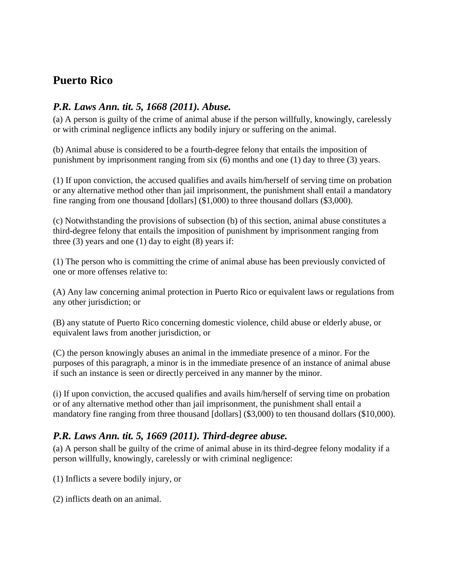# <span id="page-20-0"></span>**Puerto Rico**

#### <span id="page-20-1"></span>*P.R. Laws Ann. tit. 5, 1668 (2011). Abuse.*

(a) A person is guilty of the crime of animal abuse if the person willfully, knowingly, carelessly or with criminal negligence inflicts any bodily injury or suffering on the animal.

(b) Animal abuse is considered to be a fourth-degree felony that entails the imposition of punishment by imprisonment ranging from six (6) months and one (1) day to three (3) years.

(1) If upon conviction, the accused qualifies and avails him/herself of serving time on probation or any alternative method other than jail imprisonment, the punishment shall entail a mandatory fine ranging from one thousand [dollars] (\$1,000) to three thousand dollars (\$3,000).

(c) Notwithstanding the provisions of subsection (b) of this section, animal abuse constitutes a third-degree felony that entails the imposition of punishment by imprisonment ranging from three  $(3)$  years and one  $(1)$  day to eight  $(8)$  years if:

(1) The person who is committing the crime of animal abuse has been previously convicted of one or more offenses relative to:

(A) Any law concerning animal protection in Puerto Rico or equivalent laws or regulations from any other jurisdiction; or

(B) any statute of Puerto Rico concerning domestic violence, child abuse or elderly abuse, or equivalent laws from another jurisdiction, or

(C) the person knowingly abuses an animal in the immediate presence of a minor. For the purposes of this paragraph, a minor is in the immediate presence of an instance of animal abuse if such an instance is seen or directly perceived in any manner by the minor.

(i) If upon conviction, the accused qualifies and avails him/herself of serving time on probation or of any alternative method other than jail imprisonment, the punishment shall entail a mandatory fine ranging from three thousand [dollars] (\$3,000) to ten thousand dollars (\$10,000).

## <span id="page-20-2"></span>*P.R. Laws Ann. tit. 5, 1669 (2011). Third-degree abuse.*

(a) A person shall be guilty of the crime of animal abuse in its third-degree felony modality if a person willfully, knowingly, carelessly or with criminal negligence:

(1) Inflicts a severe bodily injury, or

(2) inflicts death on an animal.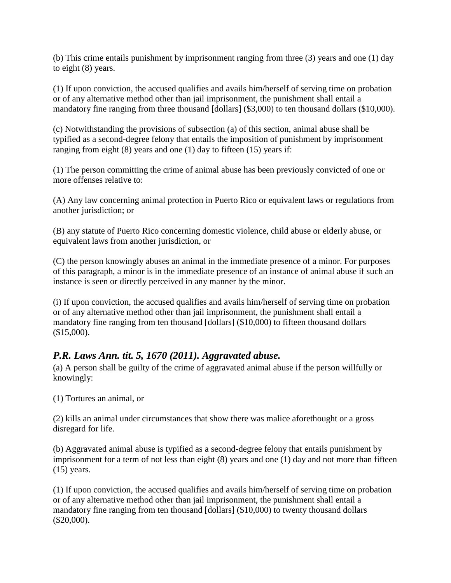(b) This crime entails punishment by imprisonment ranging from three (3) years and one (1) day to eight (8) years.

(1) If upon conviction, the accused qualifies and avails him/herself of serving time on probation or of any alternative method other than jail imprisonment, the punishment shall entail a mandatory fine ranging from three thousand [dollars] (\$3,000) to ten thousand dollars (\$10,000).

(c) Notwithstanding the provisions of subsection (a) of this section, animal abuse shall be typified as a second-degree felony that entails the imposition of punishment by imprisonment ranging from eight  $(8)$  years and one  $(1)$  day to fifteen  $(15)$  years if:

(1) The person committing the crime of animal abuse has been previously convicted of one or more offenses relative to:

(A) Any law concerning animal protection in Puerto Rico or equivalent laws or regulations from another jurisdiction; or

(B) any statute of Puerto Rico concerning domestic violence, child abuse or elderly abuse, or equivalent laws from another jurisdiction, or

(C) the person knowingly abuses an animal in the immediate presence of a minor. For purposes of this paragraph, a minor is in the immediate presence of an instance of animal abuse if such an instance is seen or directly perceived in any manner by the minor.

(i) If upon conviction, the accused qualifies and avails him/herself of serving time on probation or of any alternative method other than jail imprisonment, the punishment shall entail a mandatory fine ranging from ten thousand [dollars] (\$10,000) to fifteen thousand dollars  $$15,000$ ).

# <span id="page-21-0"></span>*P.R. Laws Ann. tit. 5, 1670 (2011). Aggravated abuse.*

(a) A person shall be guilty of the crime of aggravated animal abuse if the person willfully or knowingly:

(1) Tortures an animal, or

(2) kills an animal under circumstances that show there was malice aforethought or a gross disregard for life.

(b) Aggravated animal abuse is typified as a second-degree felony that entails punishment by imprisonment for a term of not less than eight (8) years and one (1) day and not more than fifteen (15) years.

(1) If upon conviction, the accused qualifies and avails him/herself of serving time on probation or of any alternative method other than jail imprisonment, the punishment shall entail a mandatory fine ranging from ten thousand [dollars] (\$10,000) to twenty thousand dollars (\$20,000).